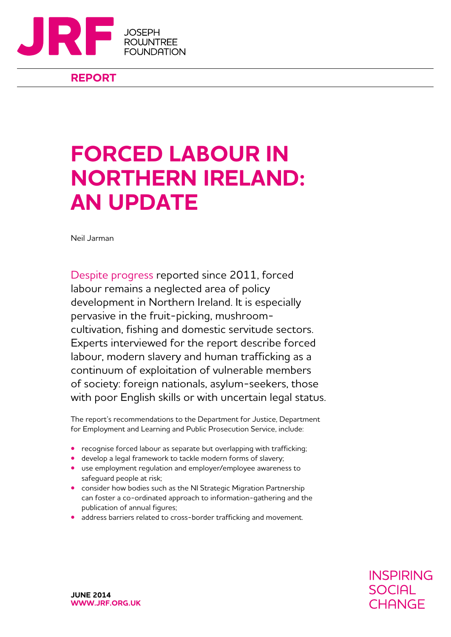

#### **REPORT**

# **Forced labour in Northern Ireland: AN UPDATE**

Neil Jarman

Despite progress reported since 2011, forced labour remains a neglected area of policy development in Northern Ireland. It is especially pervasive in the fruit-picking, mushroomcultivation, fishing and domestic servitude sectors. Experts interviewed for the report describe forced labour, modern slavery and human trafficking as a continuum of exploitation of vulnerable members of society: foreign nationals, asylum-seekers, those with poor English skills or with uncertain legal status.

The report's recommendations to the Department for Justice, Department for Employment and Learning and Public Prosecution Service, include:

- **•** recognise forced labour as separate but overlapping with trafficking;
- **•** develop a legal framework to tackle modern forms of slavery;
- **•** use employment regulation and employer/employee awareness to safeguard people at risk;
- **•** consider how bodies such as the NI Strategic Migration Partnership can foster a co-ordinated approach to information-gathering and the publication of annual figures;
- **•** address barriers related to cross-border trafficking and movement.

**INSPIRING SOCIAL** CHANGE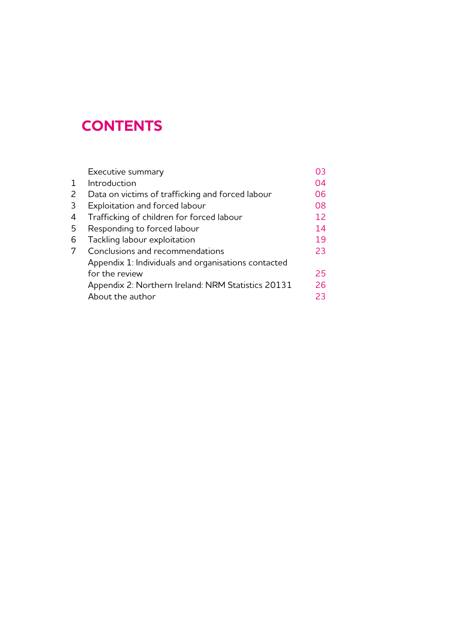### **CONTENTS**

| Executive summary                                   | OЗ |
|-----------------------------------------------------|----|
| Introduction                                        | 04 |
| Data on victims of trafficking and forced labour    | 06 |
| Exploitation and forced labour                      | 08 |
| Trafficking of children for forced labour           | 12 |
| Responding to forced labour                         | 14 |
| Tackling labour exploitation                        | 19 |
| Conclusions and recommendations                     | 23 |
| Appendix 1: Individuals and organisations contacted |    |
| for the review                                      | 25 |
| Appendix 2: Northern Ireland: NRM Statistics 20131  | 26 |
| About the author                                    | 23 |
|                                                     |    |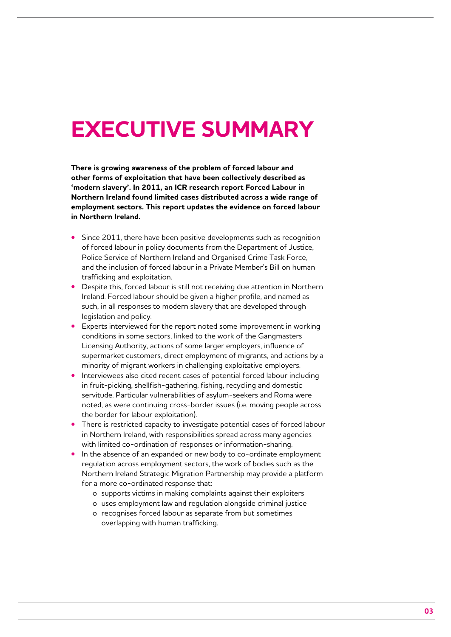# **executive summary**

**There is growing awareness of the problem of forced labour and other forms of exploitation that have been collectively described as 'modern slavery'. In 2011, an ICR research report Forced Labour in Northern Ireland found limited cases distributed across a wide range of employment sectors. This report updates the evidence on forced labour in Northern Ireland.** 

- **•** Since 2011, there have been positive developments such as recognition of forced labour in policy documents from the Department of Justice, Police Service of Northern Ireland and Organised Crime Task Force, and the inclusion of forced labour in a Private Member's Bill on human trafficking and exploitation.
- **•** Despite this, forced labour is still not receiving due attention in Northern Ireland. Forced labour should be given a higher profile, and named as such, in all responses to modern slavery that are developed through legislation and policy.
- **•** Experts interviewed for the report noted some improvement in working conditions in some sectors, linked to the work of the Gangmasters Licensing Authority, actions of some larger employers, influence of supermarket customers, direct employment of migrants, and actions by a minority of migrant workers in challenging exploitative employers.
- **•** Interviewees also cited recent cases of potential forced labour including in fruit-picking, shellfish-gathering, fishing, recycling and domestic servitude. Particular vulnerabilities of asylum-seekers and Roma were noted, as were continuing cross-border issues (i.e. moving people across the border for labour exploitation).
- **•** There is restricted capacity to investigate potential cases of forced labour in Northern Ireland, with responsibilities spread across many agencies with limited co-ordination of responses or information-sharing.
- **•** In the absence of an expanded or new body to co-ordinate employment regulation across employment sectors, the work of bodies such as the Northern Ireland Strategic Migration Partnership may provide a platform for a more co-ordinated response that:
	- o supports victims in making complaints against their exploiters
	- o uses employment law and regulation alongside criminal justice
	- o recognises forced labour as separate from but sometimes overlapping with human trafficking.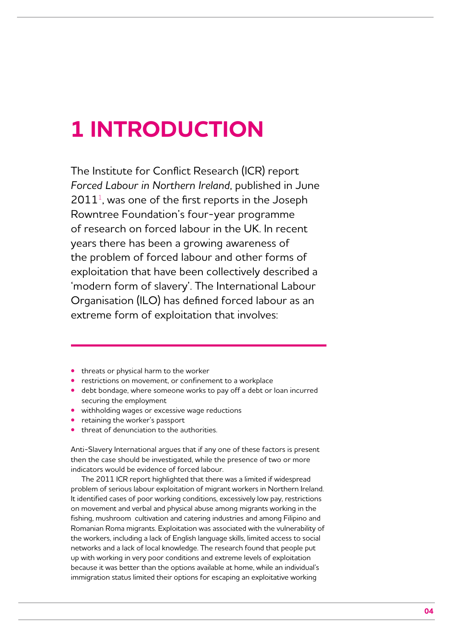# **1 Introduction**

The Institute for Conflict Research (ICR) report *Forced Labour in Northern Ireland*, published in June  $2011<sup>1</sup>$ , was one of the first reports in the Joseph Rowntree Foundation's four-year programme of research on forced labour in the UK. In recent years there has been a growing awareness of the problem of forced labour and other forms of exploitation that have been collectively described a 'modern form of slavery'. The International Labour Organisation (ILO) has defined forced labour as an extreme form of exploitation that involves:

- **•** threats or physical harm to the worker
- **•** restrictions on movement, or confinement to a workplace
- **•** debt bondage, where someone works to pay off a debt or loan incurred securing the employment
- **•** withholding wages or excessive wage reductions
- **•** retaining the worker's passport
- **•** threat of denunciation to the authorities.

Anti-Slavery International argues that if any one of these factors is present then the case should be investigated, while the presence of two or more indicators would be evidence of forced labour.

The 2011 ICR report highlighted that there was a limited if widespread problem of serious labour exploitation of migrant workers in Northern Ireland. It identified cases of poor working conditions, excessively low pay, restrictions on movement and verbal and physical abuse among migrants working in the fishing, mushroom cultivation and catering industries and among Filipino and Romanian Roma migrants. Exploitation was associated with the vulnerability of the workers, including a lack of English language skills, limited access to social networks and a lack of local knowledge. The research found that people put up with working in very poor conditions and extreme levels of exploitation because it was better than the options available at home, while an individual's immigration status limited their options for escaping an exploitative working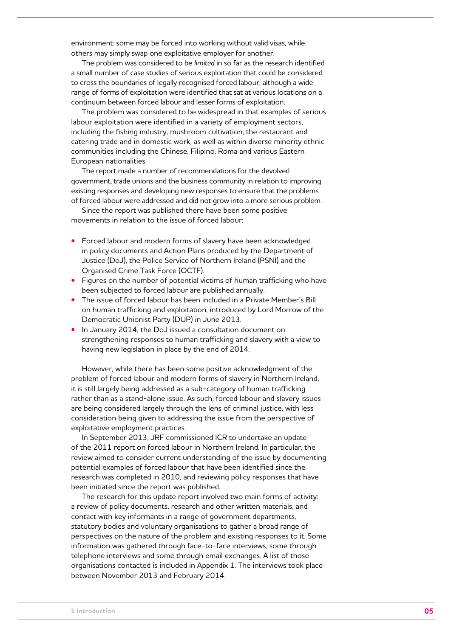environment: some may be forced into working without valid visas, while others may simply swap one exploitative employer for another.

The problem was considered to be *limited* in so far as the research identified a small number of case studies of serious exploitation that could be considered to cross the boundaries of legally recognised forced labour, although a wide range of forms of exploitation were identified that sat at various locations on a continuum between forced labour and lesser forms of exploitation.

The problem was considered to be widespread in that examples of serious labour exploitation were identified in a variety of employment sectors, including the fishing industry, mushroom cultivation, the restaurant and catering trade and in domestic work, as well as within diverse minority ethnic communities including the Chinese, Filipino, Roma and various Eastern European nationalities.

The report made a number of recommendations for the devolved government, trade unions and the business community in relation to improving existing responses and developing new responses to ensure that the problems of forced labour were addressed and did not grow into a more serious problem.

Since the report was published there have been some positive movements in relation to the issue of forced labour:

- **•** Forced labour and modern forms of slavery have been acknowledged in policy documents and Action Plans produced by the Department of Justice (DoJ), the Police Service of Northern Ireland (PSNI) and the Organised Crime Task Force (OCTF).
- **•** Figures on the number of potential victims of human trafficking who have been subjected to forced labour are published annually.
- **•** The issue of forced labour has been included in a Private Member's Bill on human trafficking and exploitation, introduced by Lord Morrow of the Democratic Unionist Party (DUP) in June 2013.
- **•** In January 2014, the DoJ issued a consultation document on strengthening responses to human trafficking and slavery with a view to having new legislation in place by the end of 2014.

However, while there has been some positive acknowledgment of the problem of forced labour and modern forms of slavery in Northern Ireland, it is still largely being addressed as a sub-category of human trafficking rather than as a stand-alone issue. As such, forced labour and slavery issues are being considered largely through the lens of criminal justice, with less consideration being given to addressing the issue from the perspective of exploitative employment practices.

In September 2013, JRF commissioned ICR to undertake an update of the 2011 report on forced labour in Northern Ireland. In particular, the review aimed to consider current understanding of the issue by documenting potential examples of forced labour that have been identified since the research was completed in 2010, and reviewing policy responses that have been initiated since the report was published.

The research for this update report involved two main forms of activity: a review of policy documents, research and other written materials, and contact with key informants in a range of government departments, statutory bodies and voluntary organisations to gather a broad range of perspectives on the nature of the problem and existing responses to it. Some information was gathered through face-to-face interviews, some through telephone interviews and some through email exchanges. A list of those organisations contacted is included in Appendix 1. The interviews took place between November 2013 and February 2014.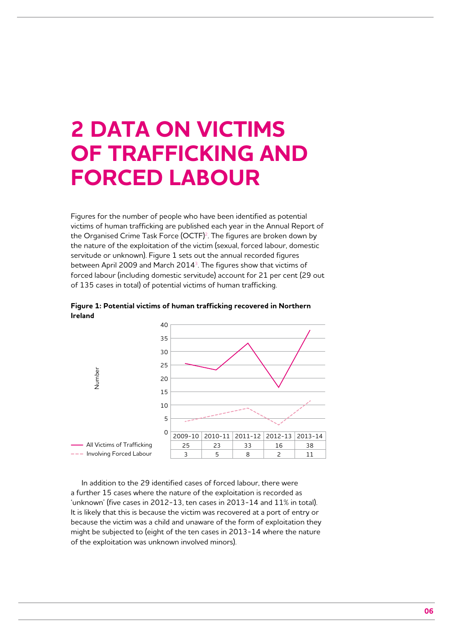# **2 Data on victims of trafficking and forced labour**

Figures for the number of people who have been identified as potential victims of human trafficking are published each year in the Annual Report of the Organised Crime Task Force (OCTF)<sup>2</sup>. The figures are broken down by the nature of the exploitation of the victim (sexual, forced labour, domestic servitude or unknown). Figure 1 sets out the annual recorded figures between April 2009 and March 2014<sup>3</sup>. The figures show that victims of forced labour (including domestic servitude) account for 21 per cent (29 out of 135 cases in total) of potential victims of human trafficking.



**Figure 1: Potential victims of human trafficking recovered in Northern Ireland**

In addition to the 29 identified cases of forced labour, there were a further 15 cases where the nature of the exploitation is recorded as 'unknown' (five cases in 2012-13, ten cases in 2013-14 and 11% in total). It is likely that this is because the victim was recovered at a port of entry or because the victim was a child and unaware of the form of exploitation they might be subjected to (eight of the ten cases in 2013-14 where the nature of the exploitation was unknown involved minors).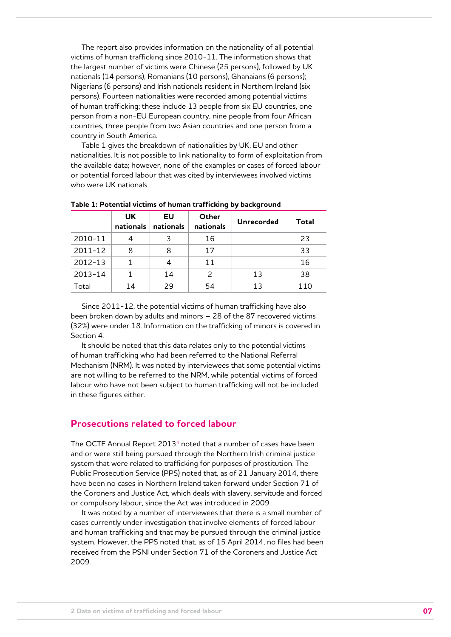The report also provides information on the nationality of all potential victims of human trafficking since 2010-11. The information shows that the largest number of victims were Chinese (25 persons), followed by UK nationals (14 persons), Romanians (10 persons), Ghanaians (6 persons); Nigerians (6 persons) and Irish nationals resident in Northern Ireland (six persons). Fourteen nationalities were recorded among potential victims of human trafficking; these include 13 people from six EU countries, one person from a non-EU European country, nine people from four African countries, three people from two Asian countries and one person from a country in South America.

Table 1 gives the breakdown of nationalities by UK, EU and other nationalities. It is not possible to link nationality to form of exploitation from the available data; however, none of the examples or cases of forced labour or potential forced labour that was cited by interviewees involved victims who were UK nationals.

|             | UK.<br>nationals | EU<br>nationals | Other<br>nationals | Unrecorded | Total |
|-------------|------------------|-----------------|--------------------|------------|-------|
| 2010-11     |                  | 3               | 16                 |            | 23    |
| 2011-12     | 8                | 8               | 17                 |            | 33    |
| $2012 - 13$ | 1                | 4               | 11                 |            | 16    |
| $2013 - 14$ |                  | 14              | $\mathcal{P}$      | 13         | 38    |
| Total       | 14               | 29              | 54                 | 13         | 110   |

**Table 1: Potential victims of human trafficking by background** 

Since 2011-12, the potential victims of human trafficking have also been broken down by adults and minors – 28 of the 87 recovered victims (32%) were under 18. Information on the trafficking of minors is covered in Section 4.

It should be noted that this data relates only to the potential victims of human trafficking who had been referred to the National Referral Mechanism (NRM). It was noted by interviewees that some potential victims are not willing to be referred to the NRM, while potential victims of forced labour who have not been subject to human trafficking will not be included in these figures either.

#### **Prosecutions related to forced labour**

The OCTF Annual Report 2013<sup>4</sup> noted that a number of cases have been and or were still being pursued through the Northern Irish criminal justice system that were related to trafficking for purposes of prostitution. The Public Prosecution Service (PPS) noted that, as of 21 January 2014, there have been no cases in Northern Ireland taken forward under Section 71 of the Coroners and Justice Act, which deals with slavery, servitude and forced or compulsory labour, since the Act was introduced in 2009.

It was noted by a number of interviewees that there is a small number of cases currently under investigation that involve elements of forced labour and human trafficking and that may be pursued through the criminal justice system. However, the PPS noted that, as of 15 April 2014, no files had been received from the PSNI under Section 71 of the Coroners and Justice Act 2009.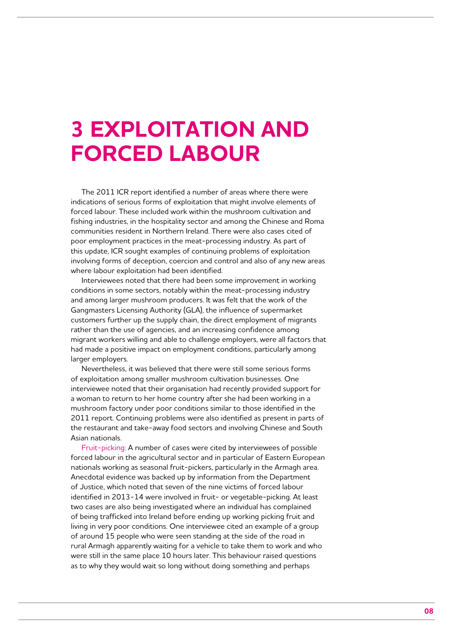### **3 Exploitation and forced labour**

The 2011 ICR report identified a number of areas where there were indications of serious forms of exploitation that might involve elements of forced labour. These included work within the mushroom cultivation and fishing industries, in the hospitality sector and among the Chinese and Roma communities resident in Northern Ireland. There were also cases cited of poor employment practices in the meat-processing industry. As part of this update, ICR sought examples of continuing problems of exploitation involving forms of deception, coercion and control and also of any new areas where labour exploitation had been identified.

Interviewees noted that there had been some improvement in working conditions in some sectors, notably within the meat-processing industry and among larger mushroom producers. It was felt that the work of the Gangmasters Licensing Authority (GLA), the influence of supermarket customers further up the supply chain, the direct employment of migrants rather than the use of agencies, and an increasing confidence among migrant workers willing and able to challenge employers, were all factors that had made a positive impact on employment conditions, particularly among larger employers.

Nevertheless, it was believed that there were still some serious forms of exploitation among smaller mushroom cultivation businesses. One interviewee noted that their organisation had recently provided support for a woman to return to her home country after she had been working in a mushroom factory under poor conditions similar to those identified in the 2011 report. Continuing problems were also identified as present in parts of the restaurant and take-away food sectors and involving Chinese and South Asian nationals.

Fruit-picking: A number of cases were cited by interviewees of possible forced labour in the agricultural sector and in particular of Eastern European nationals working as seasonal fruit-pickers, particularly in the Armagh area. Anecdotal evidence was backed up by information from the Department of Justice, which noted that seven of the nine victims of forced labour identified in 2013-14 were involved in fruit- or vegetable-picking. At least two cases are also being investigated where an individual has complained of being trafficked into Ireland before ending up working picking fruit and living in very poor conditions. One interviewee cited an example of a group of around 15 people who were seen standing at the side of the road in rural Armagh apparently waiting for a vehicle to take them to work and who were still in the same place 10 hours later. This behaviour raised questions as to why they would wait so long without doing something and perhaps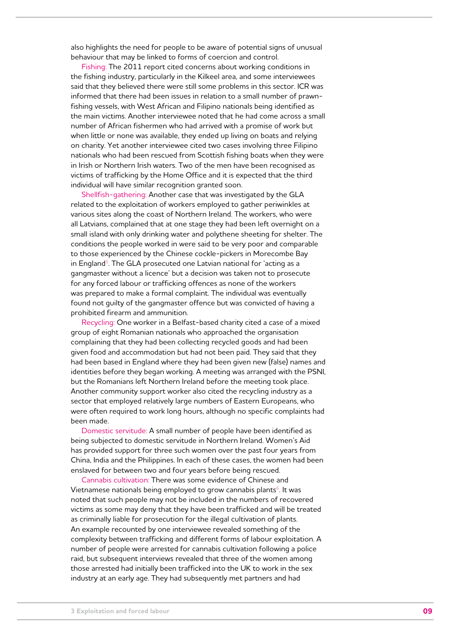also highlights the need for people to be aware of potential signs of unusual behaviour that may be linked to forms of coercion and control.

Fishing: The 2011 report cited concerns about working conditions in the fishing industry, particularly in the Kilkeel area, and some interviewees said that they believed there were still some problems in this sector. ICR was informed that there had been issues in relation to a small number of prawnfishing vessels, with West African and Filipino nationals being identified as the main victims. Another interviewee noted that he had come across a small number of African fishermen who had arrived with a promise of work but when little or none was available, they ended up living on boats and relying on charity. Yet another interviewee cited two cases involving three Filipino nationals who had been rescued from Scottish fishing boats when they were in Irish or Northern Irish waters. Two of the men have been recognised as victims of trafficking by the Home Office and it is expected that the third individual will have similar recognition granted soon.

Shellfish-gathering: Another case that was investigated by the GLA related to the exploitation of workers employed to gather periwinkles at various sites along the coast of Northern Ireland. The workers, who were all Latvians, complained that at one stage they had been left overnight on a small island with only drinking water and polythene sheeting for shelter. The conditions the people worked in were said to be very poor and comparable to those experienced by the Chinese cockle-pickers in Morecombe Bay in England<sup>5</sup>. The GLA prosecuted one Latvian national for 'acting as a gangmaster without a licence' but a decision was taken not to prosecute for any forced labour or trafficking offences as none of the workers was prepared to make a formal complaint. The individual was eventually found not guilty of the gangmaster offence but was convicted of having a prohibited firearm and ammunition.

Recycling: One worker in a Belfast-based charity cited a case of a mixed group of eight Romanian nationals who approached the organisation complaining that they had been collecting recycled goods and had been given food and accommodation but had not been paid. They said that they had been based in England where they had been given new (false) names and identities before they began working. A meeting was arranged with the PSNI, but the Romanians left Northern Ireland before the meeting took place. Another community support worker also cited the recycling industry as a sector that employed relatively large numbers of Eastern Europeans, who were often required to work long hours, although no specific complaints had been made.

Domestic servitude: A small number of people have been identified as being subjected to domestic servitude in Northern Ireland. Women's Aid has provided support for three such women over the past four years from China, India and the Philippines. In each of these cases, the women had been enslaved for between two and four years before being rescued.

Cannabis cultivation: There was some evidence of Chinese and Vietnamese nationals being employed to grow cannabis plants<sup>6</sup>. It was noted that such people may not be included in the numbers of recovered victims as some may deny that they have been trafficked and will be treated as criminally liable for prosecution for the illegal cultivation of plants. An example recounted by one interviewee revealed something of the complexity between trafficking and different forms of labour exploitation. A number of people were arrested for cannabis cultivation following a police raid, but subsequent interviews revealed that three of the women among those arrested had initially been trafficked into the UK to work in the sex industry at an early age. They had subsequently met partners and had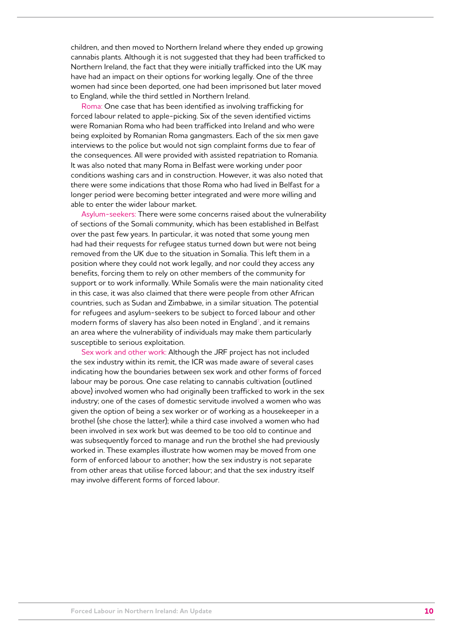children, and then moved to Northern Ireland where they ended up growing cannabis plants. Although it is not suggested that they had been trafficked to Northern Ireland, the fact that they were initially trafficked into the UK may have had an impact on their options for working legally. One of the three women had since been deported, one had been imprisoned but later moved to England, while the third settled in Northern Ireland.

Roma: One case that has been identified as involving trafficking for forced labour related to apple-picking. Six of the seven identified victims were Romanian Roma who had been trafficked into Ireland and who were being exploited by Romanian Roma gangmasters. Each of the six men gave interviews to the police but would not sign complaint forms due to fear of the consequences. All were provided with assisted repatriation to Romania. It was also noted that many Roma in Belfast were working under poor conditions washing cars and in construction. However, it was also noted that there were some indications that those Roma who had lived in Belfast for a longer period were becoming better integrated and were more willing and able to enter the wider labour market.

Asylum-seekers: There were some concerns raised about the vulnerability of sections of the Somali community, which has been established in Belfast over the past few years. In particular, it was noted that some young men had had their requests for refugee status turned down but were not being removed from the UK due to the situation in Somalia. This left them in a position where they could not work legally, and nor could they access any benefits, forcing them to rely on other members of the community for support or to work informally. While Somalis were the main nationality cited in this case, it was also claimed that there were people from other African countries, such as Sudan and Zimbabwe, in a similar situation. The potential for refugees and asylum-seekers to be subject to forced labour and other modern forms of slavery has also been noted in England<sup>7</sup>, and it remains an area where the vulnerability of individuals may make them particularly susceptible to serious exploitation.

Sex work and other work: Although the JRF project has not included the sex industry within its remit, the ICR was made aware of several cases indicating how the boundaries between sex work and other forms of forced labour may be porous. One case relating to cannabis cultivation (outlined above) involved women who had originally been trafficked to work in the sex industry; one of the cases of domestic servitude involved a women who was given the option of being a sex worker or of working as a housekeeper in a brothel (she chose the latter); while a third case involved a women who had been involved in sex work but was deemed to be too old to continue and was subsequently forced to manage and run the brothel she had previously worked in. These examples illustrate how women may be moved from one form of enforced labour to another; how the sex industry is not separate from other areas that utilise forced labour; and that the sex industry itself may involve different forms of forced labour.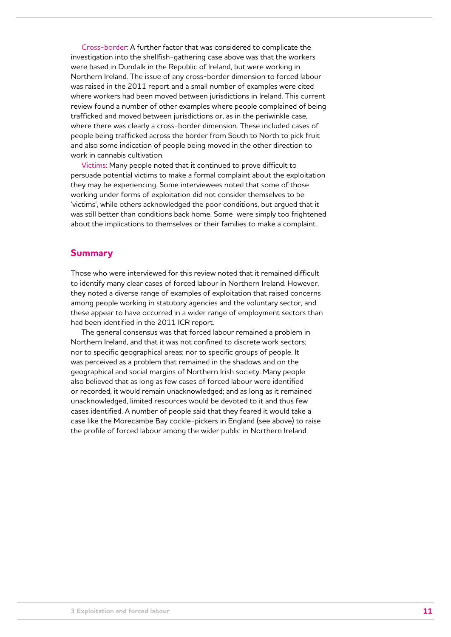Cross-border: A further factor that was considered to complicate the investigation into the shellfish-gathering case above was that the workers were based in Dundalk in the Republic of Ireland, but were working in Northern Ireland. The issue of any cross-border dimension to forced labour was raised in the 2011 report and a small number of examples were cited where workers had been moved between jurisdictions in Ireland. This current review found a number of other examples where people complained of being trafficked and moved between jurisdictions or, as in the periwinkle case, where there was clearly a cross-border dimension. These included cases of people being trafficked across the border from South to North to pick fruit and also some indication of people being moved in the other direction to work in cannabis cultivation.

Victims: Many people noted that it continued to prove difficult to persuade potential victims to make a formal complaint about the exploitation they may be experiencing. Some interviewees noted that some of those working under forms of exploitation did not consider themselves to be 'victims', while others acknowledged the poor conditions, but argued that it was still better than conditions back home. Some were simply too frightened about the implications to themselves or their families to make a complaint.

#### **Summary**

Those who were interviewed for this review noted that it remained difficult to identify many clear cases of forced labour in Northern Ireland. However, they noted a diverse range of examples of exploitation that raised concerns among people working in statutory agencies and the voluntary sector, and these appear to have occurred in a wider range of employment sectors than had been identified in the 2011 ICR report.

The general consensus was that forced labour remained a problem in Northern Ireland, and that it was not confined to discrete work sectors; nor to specific geographical areas; nor to specific groups of people. It was perceived as a problem that remained in the shadows and on the geographical and social margins of Northern Irish society. Many people also believed that as long as few cases of forced labour were identified or recorded, it would remain unacknowledged; and as long as it remained unacknowledged, limited resources would be devoted to it and thus few cases identified. A number of people said that they feared it would take a case like the Morecambe Bay cockle-pickers in England (see above) to raise the profile of forced labour among the wider public in Northern Ireland.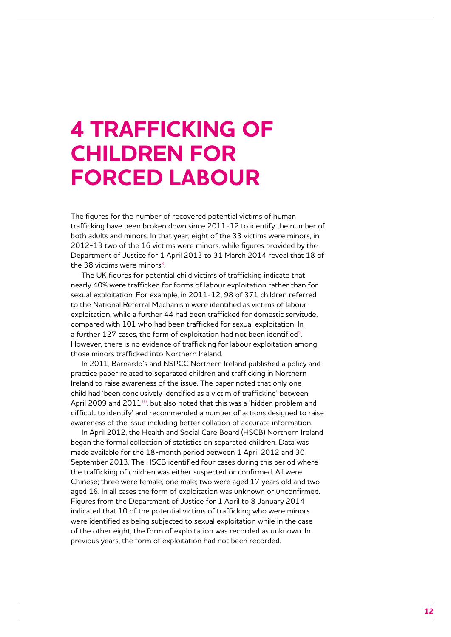# **4 Trafficking of children for forced labour**

The figures for the number of recovered potential victims of human trafficking have been broken down since 2011-12 to identify the number of both adults and minors. In that year, eight of the 33 victims were minors, in 2012-13 two of the 16 victims were minors, while figures provided by the Department of Justice for 1 April 2013 to 31 March 2014 reveal that 18 of the 38 victims were minors $8$ .

The UK figures for potential child victims of trafficking indicate that nearly 40% were trafficked for forms of labour exploitation rather than for sexual exploitation. For example, in 2011-12, 98 of 371 children referred to the National Referral Mechanism were identified as victims of labour exploitation, while a further 44 had been trafficked for domestic servitude, compared with 101 who had been trafficked for sexual exploitation. In a further 127 cases, the form of exploitation had not been identified<sup>9</sup>. However, there is no evidence of trafficking for labour exploitation among those minors trafficked into Northern Ireland.

In 2011, Barnardo's and NSPCC Northern Ireland published a policy and practice paper related to separated children and trafficking in Northern Ireland to raise awareness of the issue. The paper noted that only one child had 'been conclusively identified as a victim of trafficking' between April 2009 and  $2011^{10}$ , but also noted that this was a 'hidden problem and difficult to identify' and recommended a number of actions designed to raise awareness of the issue including better collation of accurate information.

In April 2012, the Health and Social Care Board (HSCB) Northern Ireland began the formal collection of statistics on separated children. Data was made available for the 18-month period between 1 April 2012 and 30 September 2013. The HSCB identified four cases during this period where the trafficking of children was either suspected or confirmed. All were Chinese; three were female, one male; two were aged 17 years old and two aged 16. In all cases the form of exploitation was unknown or unconfirmed. Figures from the Department of Justice for 1 April to 8 January 2014 indicated that 10 of the potential victims of trafficking who were minors were identified as being subjected to sexual exploitation while in the case of the other eight, the form of exploitation was recorded as unknown. In previous years, the form of exploitation had not been recorded.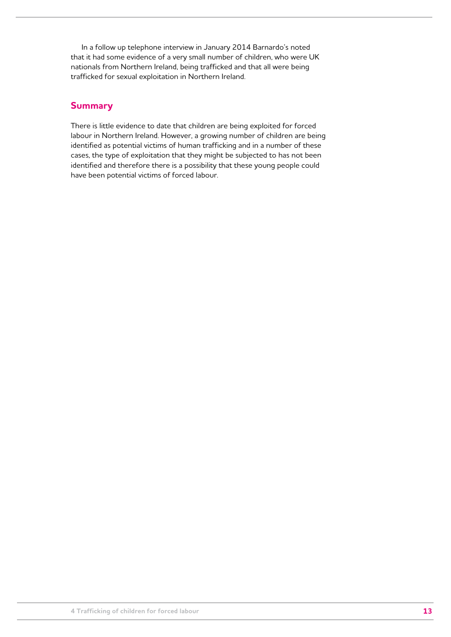In a follow up telephone interview in January 2014 Barnardo's noted that it had some evidence of a very small number of children, who were UK nationals from Northern Ireland, being trafficked and that all were being trafficked for sexual exploitation in Northern Ireland.

#### **Summary**

There is little evidence to date that children are being exploited for forced labour in Northern Ireland. However, a growing number of children are being identified as potential victims of human trafficking and in a number of these cases, the type of exploitation that they might be subjected to has not been identified and therefore there is a possibility that these young people could have been potential victims of forced labour.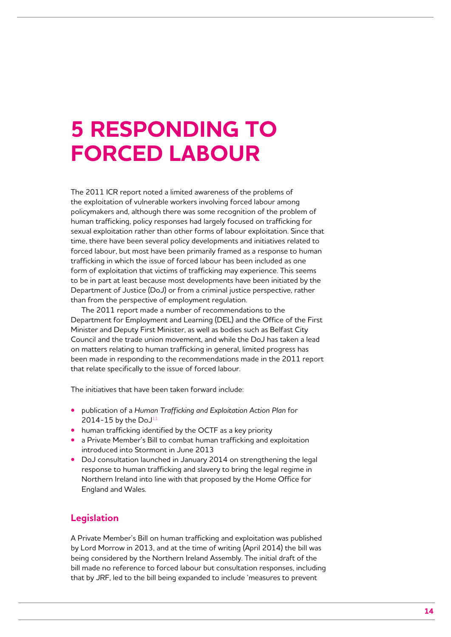# **5 Responding to forced labour**

The 2011 ICR report noted a limited awareness of the problems of the exploitation of vulnerable workers involving forced labour among policymakers and, although there was some recognition of the problem of human trafficking, policy responses had largely focused on trafficking for sexual exploitation rather than other forms of labour exploitation. Since that time, there have been several policy developments and initiatives related to forced labour, but most have been primarily framed as a response to human trafficking in which the issue of forced labour has been included as one form of exploitation that victims of trafficking may experience. This seems to be in part at least because most developments have been initiated by the Department of Justice (DoJ) or from a criminal justice perspective, rather than from the perspective of employment regulation.

The 2011 report made a number of recommendations to the Department for Employment and Learning (DEL) and the Office of the First Minister and Deputy First Minister, as well as bodies such as Belfast City Council and the trade union movement, and while the DoJ has taken a lead on matters relating to human trafficking in general, limited progress has been made in responding to the recommendations made in the 2011 report that relate specifically to the issue of forced labour.

The initiatives that have been taken forward include:

- **•** publication of a *Human Trafficking and Exploitation Action Plan* for 2014-15 by the  $DoJ<sup>11</sup>$
- **•** human trafficking identified by the OCTF as a key priority
- **•** a Private Member's Bill to combat human trafficking and exploitation introduced into Stormont in June 2013
- **•** DoJ consultation launched in January 2014 on strengthening the legal response to human trafficking and slavery to bring the legal regime in Northern Ireland into line with that proposed by the Home Office for England and Wales.

#### **Legislation**

A Private Member's Bill on human trafficking and exploitation was published by Lord Morrow in 2013, and at the time of writing (April 2014) the bill was being considered by the Northern Ireland Assembly. The initial draft of the bill made no reference to forced labour but consultation responses, including that by JRF, led to the bill being expanded to include 'measures to prevent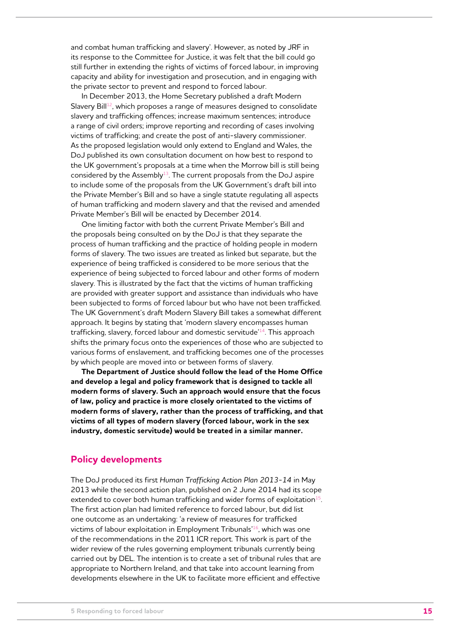and combat human trafficking and slavery'. However, as noted by JRF in its response to the Committee for Justice, it was felt that the bill could go still further in extending the rights of victims of forced labour, in improving capacity and ability for investigation and prosecution, and in engaging with the private sector to prevent and respond to forced labour.

In December 2013, the Home Secretary published a draft Modern Slavery Bill<sup>12</sup>, which proposes a range of measures designed to consolidate slavery and trafficking offences; increase maximum sentences; introduce a range of civil orders; improve reporting and recording of cases involving victims of trafficking; and create the post of anti-slavery commissioner. As the proposed legislation would only extend to England and Wales, the DoJ published its own consultation document on how best to respond to the UK government's proposals at a time when the Morrow bill is still being considered by the Assembly<sup>13</sup>. The current proposals from the DoJ aspire to include some of the proposals from the UK Government's draft bill into the Private Member's Bill and so have a single statute regulating all aspects of human trafficking and modern slavery and that the revised and amended Private Member's Bill will be enacted by December 2014.

One limiting factor with both the current Private Member's Bill and the proposals being consulted on by the DoJ is that they separate the process of human trafficking and the practice of holding people in modern forms of slavery. The two issues are treated as linked but separate, but the experience of being trafficked is considered to be more serious that the experience of being subjected to forced labour and other forms of modern slavery. This is illustrated by the fact that the victims of human trafficking are provided with greater support and assistance than individuals who have been subjected to forms of forced labour but who have not been trafficked. The UK Government's draft Modern Slavery Bill takes a somewhat different approach. It begins by stating that 'modern slavery encompasses human trafficking, slavery, forced labour and domestic servitude'<sup>14</sup>. This approach shifts the primary focus onto the experiences of those who are subjected to various forms of enslavement, and trafficking becomes one of the processes by which people are moved into or between forms of slavery.

**The Department of Justice should follow the lead of the Home Office and develop a legal and policy framework that is designed to tackle all modern forms of slavery. Such an approach would ensure that the focus of law, policy and practice is more closely orientated to the victims of modern forms of slavery, rather than the process of trafficking, and that victims of all types of modern slavery (forced labour, work in the sex industry, domestic servitude) would be treated in a similar manner.** 

#### **Policy developments**

The DoJ produced its first *Human Trafficking Action Plan 2013-14* in May 2013 while the second action plan, published on 2 June 2014 had its scope extended to cover both human trafficking and wider forms of exploitation $15$ . The first action plan had limited reference to forced labour, but did list one outcome as an undertaking: 'a review of measures for trafficked victims of labour exploitation in Employment Tribunals'<sup>16</sup>, which was one of the recommendations in the 2011 ICR report. This work is part of the wider review of the rules governing employment tribunals currently being carried out by DEL. The intention is to create a set of tribunal rules that are appropriate to Northern Ireland, and that take into account learning from developments elsewhere in the UK to facilitate more efficient and effective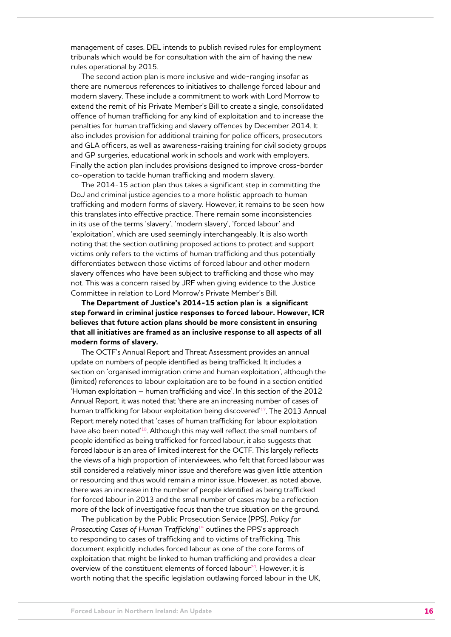management of cases. DEL intends to publish revised rules for employment tribunals which would be for consultation with the aim of having the new rules operational by 2015.

The second action plan is more inclusive and wide-ranging insofar as there are numerous references to initiatives to challenge forced labour and modern slavery. These include a commitment to work with Lord Morrow to extend the remit of his Private Member's Bill to create a single, consolidated offence of human trafficking for any kind of exploitation and to increase the penalties for human trafficking and slavery offences by December 2014. It also includes provision for additional training for police officers, prosecutors and GLA officers, as well as awareness-raising training for civil society groups and GP surgeries, educational work in schools and work with employers. Finally the action plan includes provisions designed to improve cross-border co-operation to tackle human trafficking and modern slavery.

The 2014-15 action plan thus takes a significant step in committing the DoJ and criminal justice agencies to a more holistic approach to human trafficking and modern forms of slavery. However, it remains to be seen how this translates into effective practice. There remain some inconsistencies in its use of the terms 'slavery', 'modern slavery', 'forced labour' and 'exploitation', which are used seemingly interchangeably. It is also worth noting that the section outlining proposed actions to protect and support victims only refers to the victims of human trafficking and thus potentially differentiates between those victims of forced labour and other modern slavery offences who have been subject to trafficking and those who may not. This was a concern raised by JRF when giving evidence to the Justice Committee in relation to Lord Morrow's Private Member's Bill.

**The Department of Justice's 2014-15 action plan is a significant step forward in criminal justice responses to forced labour. However, ICR believes that future action plans should be more consistent in ensuring that all initiatives are framed as an inclusive response to all aspects of all modern forms of slavery.** 

The OCTF's Annual Report and Threat Assessment provides an annual update on numbers of people identified as being trafficked. It includes a section on 'organised immigration crime and human exploitation', although the (limited) references to labour exploitation are to be found in a section entitled 'Human exploitation – human trafficking and vice'. In this section of the 2012 Annual Report, it was noted that 'there are an increasing number of cases of human trafficking for labour exploitation being discovered'<sup>17</sup>. The 2013 Annual Report merely noted that 'cases of human trafficking for labour exploitation have also been noted'<sup>18</sup>. Although this may well reflect the small numbers of people identified as being trafficked for forced labour, it also suggests that forced labour is an area of limited interest for the OCTF. This largely reflects the views of a high proportion of interviewees, who felt that forced labour was still considered a relatively minor issue and therefore was given little attention or resourcing and thus would remain a minor issue. However, as noted above, there was an increase in the number of people identified as being trafficked for forced labour in 2013 and the small number of cases may be a reflection more of the lack of investigative focus than the true situation on the ground.

The publication by the Public Prosecution Service (PPS), *Policy for Prosecuting Cases of Human Trafficking*<sup>19</sup> outlines the PPS's approach to responding to cases of trafficking and to victims of trafficking. This document explicitly includes forced labour as one of the core forms of exploitation that might be linked to human trafficking and provides a clear overview of the constituent elements of forced labour<sup>20</sup>. However, it is worth noting that the specific legislation outlawing forced labour in the UK,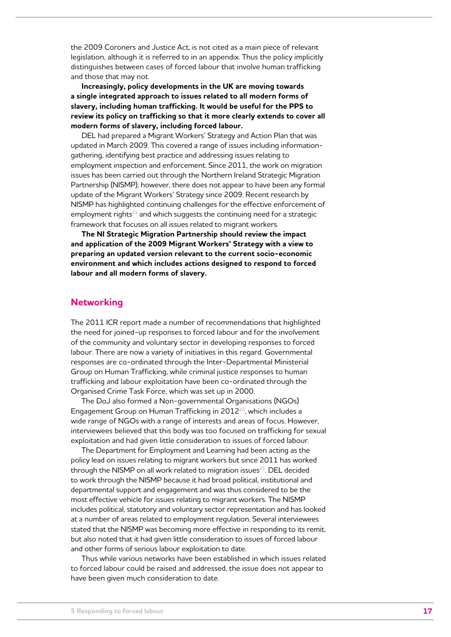the 2009 Coroners and Justice Act, is not cited as a main piece of relevant legislation, although it is referred to in an appendix. Thus the policy implicitly distinguishes between cases of forced labour that involve human trafficking and those that may not.

**Increasingly, policy developments in the UK are moving towards a single integrated approach to issues related to all modern forms of slavery, including human trafficking. It would be useful for the PPS to review its policy on trafficking so that it more clearly extends to cover all modern forms of slavery, including forced labour.** 

DEL had prepared a Migrant Workers' Strategy and Action Plan that was updated in March 2009. This covered a range of issues including informationgathering, identifying best practice and addressing issues relating to employment inspection and enforcement. Since 2011, the work on migration issues has been carried out through the Northern Ireland Strategic Migration Partnership (NISMP); however, there does not appear to have been any formal update of the Migrant Workers' Strategy since 2009. Recent research by NISMP has highlighted continuing challenges for the effective enforcement of employment rights $21$  and which suggests the continuing need for a strategic framework that focuses on all issues related to migrant workers.

**The NI Strategic Migration Partnership should review the impact and application of the 2009 Migrant Workers' Strategy with a view to preparing an updated version relevant to the current socio-economic environment and which includes actions designed to respond to forced labour and all modern forms of slavery.**

#### **Networking**

The 2011 ICR report made a number of recommendations that highlighted the need for joined-up responses to forced labour and for the involvement of the community and voluntary sector in developing responses to forced labour. There are now a variety of initiatives in this regard. Governmental responses are co-ordinated through the Inter-Departmental Ministerial Group on Human Trafficking, while criminal justice responses to human trafficking and labour exploitation have been co-ordinated through the Organised Crime Task Force, which was set up in 2000.

The DoJ also formed a Non-governmental Organisations (NGOs) Engagement Group on Human Trafficking in 2012<sup>22</sup>, which includes a wide range of NGOs with a range of interests and areas of focus. However, interviewees believed that this body was too focused on trafficking for sexual exploitation and had given little consideration to issues of forced labour.

The Department for Employment and Learning had been acting as the policy lead on issues relating to migrant workers but since 2011 has worked through the NISMP on all work related to migration issues $^{23}$ . DEL decided to work through the NISMP because it had broad political, institutional and departmental support and engagement and was thus considered to be the most effective vehicle for issues relating to migrant workers. The NISMP includes political, statutory and voluntary sector representation and has looked at a number of areas related to employment regulation. Several interviewees stated that the NISMP was becoming more effective in responding to its remit, but also noted that it had given little consideration to issues of forced labour and other forms of serious labour exploitation to date.

Thus while various networks have been established in which issues related to forced labour could be raised and addressed, the issue does not appear to have been given much consideration to date.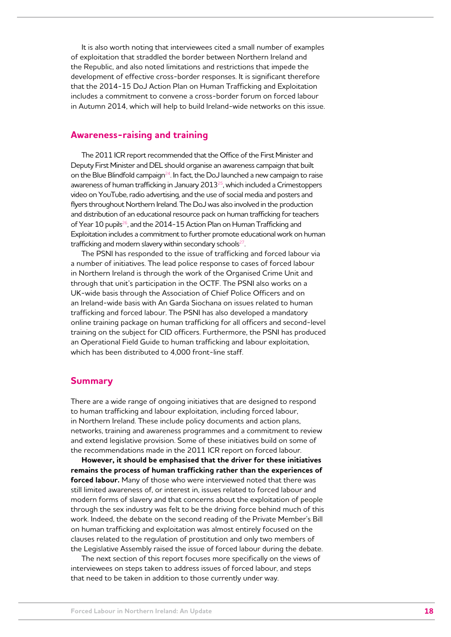It is also worth noting that interviewees cited a small number of examples of exploitation that straddled the border between Northern Ireland and the Republic, and also noted limitations and restrictions that impede the development of effective cross-border responses. It is significant therefore that the 2014-15 DoJ Action Plan on Human Trafficking and Exploitation includes a commitment to convene a cross-border forum on forced labour in Autumn 2014, which will help to build Ireland-wide networks on this issue.

#### **Awareness-raising and training**

The 2011 ICR report recommended that the Office of the First Minister and Deputy First Minister and DEL should organise an awareness campaign that built on the Blue Blindfold campaign<sup>24</sup>. In fact, the DoJ launched a new campaign to raise awareness of human trafficking in January 2013<sup>25</sup>, which included a Crimestoppers video on YouTube, radio advertising, and the use of social media and posters and flyers throughout Northern Ireland. The DoJ was also involved in the production and distribution of an educational resource pack on human trafficking for teachers of Year 10 pupils<sup>26</sup>, and the 2014-15 Action Plan on Human Trafficking and Exploitation includes a commitment to further promote educational work on human trafficking and modern slavery within secondary schools<sup>27</sup>.

The PSNI has responded to the issue of trafficking and forced labour via a number of initiatives. The lead police response to cases of forced labour in Northern Ireland is through the work of the Organised Crime Unit and through that unit's participation in the OCTF. The PSNI also works on a UK-wide basis through the Association of Chief Police Officers and on an Ireland-wide basis with An Garda Siochana on issues related to human trafficking and forced labour. The PSNI has also developed a mandatory online training package on human trafficking for all officers and second-level training on the subject for CID officers. Furthermore, the PSNI has produced an Operational Field Guide to human trafficking and labour exploitation, which has been distributed to 4,000 front-line staff.

#### **Summary**

There are a wide range of ongoing initiatives that are designed to respond to human trafficking and labour exploitation, including forced labour, in Northern Ireland. These include policy documents and action plans, networks, training and awareness programmes and a commitment to review and extend legislative provision. Some of these initiatives build on some of the recommendations made in the 2011 ICR report on forced labour.

**However, it should be emphasised that the driver for these initiatives remains the process of human trafficking rather than the experiences of forced labour.** Many of those who were interviewed noted that there was still limited awareness of, or interest in, issues related to forced labour and modern forms of slavery and that concerns about the exploitation of people through the sex industry was felt to be the driving force behind much of this work. Indeed, the debate on the second reading of the Private Member's Bill on human trafficking and exploitation was almost entirely focused on the clauses related to the regulation of prostitution and only two members of the Legislative Assembly raised the issue of forced labour during the debate.

The next section of this report focuses more specifically on the views of interviewees on steps taken to address issues of forced labour, and steps that need to be taken in addition to those currently under way.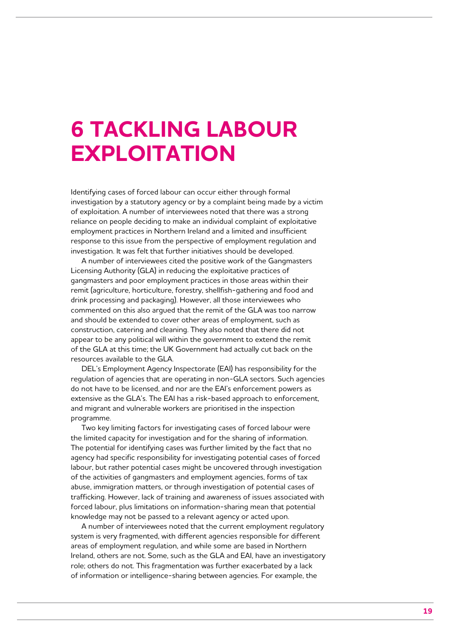## **6 Tackling labour exploitation**

Identifying cases of forced labour can occur either through formal investigation by a statutory agency or by a complaint being made by a victim of exploitation. A number of interviewees noted that there was a strong reliance on people deciding to make an individual complaint of exploitative employment practices in Northern Ireland and a limited and insufficient response to this issue from the perspective of employment regulation and investigation. It was felt that further initiatives should be developed.

A number of interviewees cited the positive work of the Gangmasters Licensing Authority (GLA) in reducing the exploitative practices of gangmasters and poor employment practices in those areas within their remit (agriculture, horticulture, forestry, shellfish-gathering and food and drink processing and packaging). However, all those interviewees who commented on this also argued that the remit of the GLA was too narrow and should be extended to cover other areas of employment, such as construction, catering and cleaning. They also noted that there did not appear to be any political will within the government to extend the remit of the GLA at this time; the UK Government had actually cut back on the resources available to the GLA.

DEL's Employment Agency Inspectorate (EAI) has responsibility for the regulation of agencies that are operating in non-GLA sectors. Such agencies do not have to be licensed, and nor are the EAI's enforcement powers as extensive as the GLA's. The EAI has a risk-based approach to enforcement, and migrant and vulnerable workers are prioritised in the inspection programme.

Two key limiting factors for investigating cases of forced labour were the limited capacity for investigation and for the sharing of information. The potential for identifying cases was further limited by the fact that no agency had specific responsibility for investigating potential cases of forced labour, but rather potential cases might be uncovered through investigation of the activities of gangmasters and employment agencies, forms of tax abuse, immigration matters, or through investigation of potential cases of trafficking. However, lack of training and awareness of issues associated with forced labour, plus limitations on information-sharing mean that potential knowledge may not be passed to a relevant agency or acted upon.

A number of interviewees noted that the current employment regulatory system is very fragmented, with different agencies responsible for different areas of employment regulation, and while some are based in Northern Ireland, others are not. Some, such as the GLA and EAI, have an investigatory role; others do not. This fragmentation was further exacerbated by a lack of information or intelligence-sharing between agencies. For example, the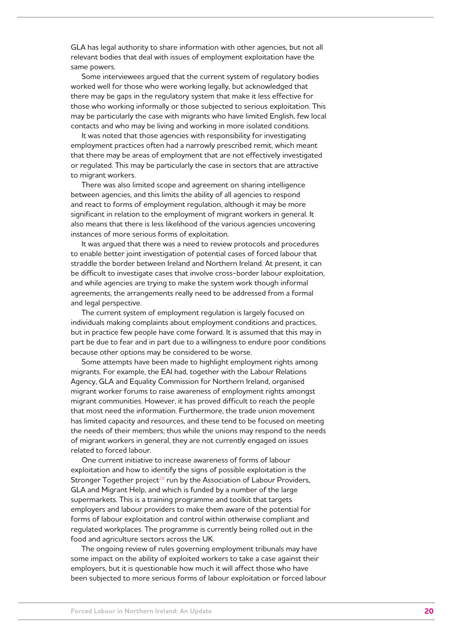GLA has legal authority to share information with other agencies, but not all relevant bodies that deal with issues of employment exploitation have the same powers.

Some interviewees argued that the current system of regulatory bodies worked well for those who were working legally, but acknowledged that there may be gaps in the regulatory system that make it less effective for those who working informally or those subjected to serious exploitation. This may be particularly the case with migrants who have limited English, few local contacts and who may be living and working in more isolated conditions.

It was noted that those agencies with responsibility for investigating employment practices often had a narrowly prescribed remit, which meant that there may be areas of employment that are not effectively investigated or regulated. This may be particularly the case in sectors that are attractive to migrant workers.

There was also limited scope and agreement on sharing intelligence between agencies, and this limits the ability of all agencies to respond and react to forms of employment regulation, although it may be more significant in relation to the employment of migrant workers in general. It also means that there is less likelihood of the various agencies uncovering instances of more serious forms of exploitation.

It was argued that there was a need to review protocols and procedures to enable better joint investigation of potential cases of forced labour that straddle the border between Ireland and Northern Ireland. At present, it can be difficult to investigate cases that involve cross-border labour exploitation, and while agencies are trying to make the system work though informal agreements, the arrangements really need to be addressed from a formal and legal perspective.

The current system of employment regulation is largely focused on individuals making complaints about employment conditions and practices, but in practice few people have come forward. It is assumed that this may in part be due to fear and in part due to a willingness to endure poor conditions because other options may be considered to be worse.

Some attempts have been made to highlight employment rights among migrants. For example, the EAI had, together with the Labour Relations Agency, GLA and Equality Commission for Northern Ireland, organised migrant worker forums to raise awareness of employment rights amongst migrant communities. However, it has proved difficult to reach the people that most need the information. Furthermore, the trade union movement has limited capacity and resources, and these tend to be focused on meeting the needs of their members; thus while the unions may respond to the needs of migrant workers in general, they are not currently engaged on issues related to forced labour.

One current initiative to increase awareness of forms of labour exploitation and how to identify the signs of possible exploitation is the Stronger Together project<sup>28</sup> run by the Association of Labour Providers, GLA and Migrant Help, and which is funded by a number of the large supermarkets. This is a training programme and toolkit that targets employers and labour providers to make them aware of the potential for forms of labour exploitation and control within otherwise compliant and regulated workplaces. The programme is currently being rolled out in the food and agriculture sectors across the UK.

The ongoing review of rules governing employment tribunals may have some impact on the ability of exploited workers to take a case against their employers, but it is questionable how much it will affect those who have been subjected to more serious forms of labour exploitation or forced labour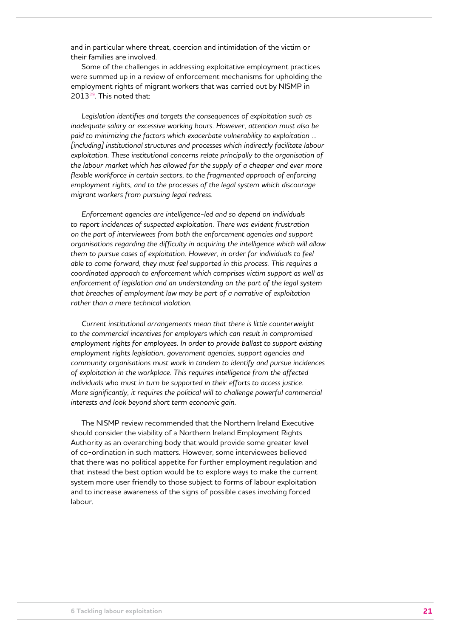and in particular where threat, coercion and intimidation of the victim or their families are involved.

Some of the challenges in addressing exploitative employment practices were summed up in a review of enforcement mechanisms for upholding the employment rights of migrant workers that was carried out by NISMP in 2013<sup>29</sup>. This noted that:

*Legislation identifies and targets the consequences of exploitation such as inadequate salary or excessive working hours. However, attention must also be paid to minimizing the factors which exacerbate vulnerability to exploitation ... [including] institutional structures and processes which indirectly facilitate labour exploitation. These institutional concerns relate principally to the organisation of the labour market which has allowed for the supply of a cheaper and ever more*  flexible workforce in certain sectors, to the fragmented approach of enforcing *employment rights, and to the processes of the legal system which discourage migrant workers from pursuing legal redress.* 

*Enforcement agencies are intelligence-led and so depend on individuals to report incidences of suspected exploitation. There was evident frustration on the part of interviewees from both the enforcement agencies and support organisations regarding the difficulty in acquiring the intelligence which will allow them to pursue cases of exploitation. However, in order for individuals to feel able to come forward, they must feel supported in this process. This requires a coordinated approach to enforcement which comprises victim support as well as enforcement of legislation and an understanding on the part of the legal system that breaches of employment law may be part of a narrative of exploitation rather than a mere technical violation.* 

*Current institutional arrangements mean that there is little counterweight to the commercial incentives for employers which can result in compromised employment rights for employees. In order to provide ballast to support existing employment rights legislation, government agencies, support agencies and community organisations must work in tandem to identify and pursue incidences of exploitation in the workplace. This requires intelligence from the affected individuals who must in turn be supported in their efforts to access justice. More significantly, it requires the political will to challenge powerful commercial interests and look beyond short term economic gain.* 

The NISMP review recommended that the Northern Ireland Executive should consider the viability of a Northern Ireland Employment Rights Authority as an overarching body that would provide some greater level of co-ordination in such matters. However, some interviewees believed that there was no political appetite for further employment regulation and that instead the best option would be to explore ways to make the current system more user friendly to those subject to forms of labour exploitation and to increase awareness of the signs of possible cases involving forced labour.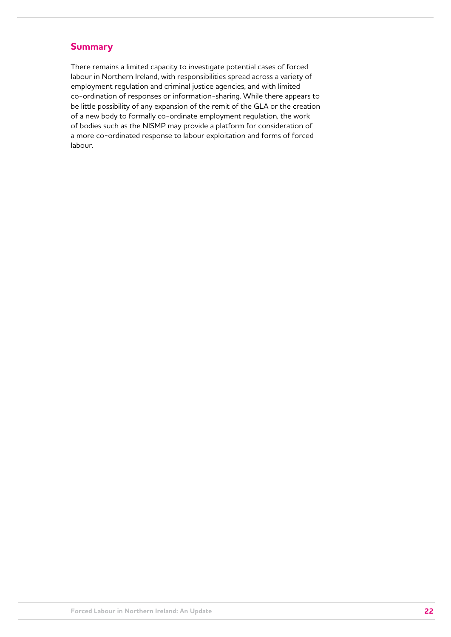#### **Summary**

There remains a limited capacity to investigate potential cases of forced labour in Northern Ireland, with responsibilities spread across a variety of employment regulation and criminal justice agencies, and with limited co-ordination of responses or information-sharing. While there appears to be little possibility of any expansion of the remit of the GLA or the creation of a new body to formally co-ordinate employment regulation, the work of bodies such as the NISMP may provide a platform for consideration of a more co-ordinated response to labour exploitation and forms of forced labour.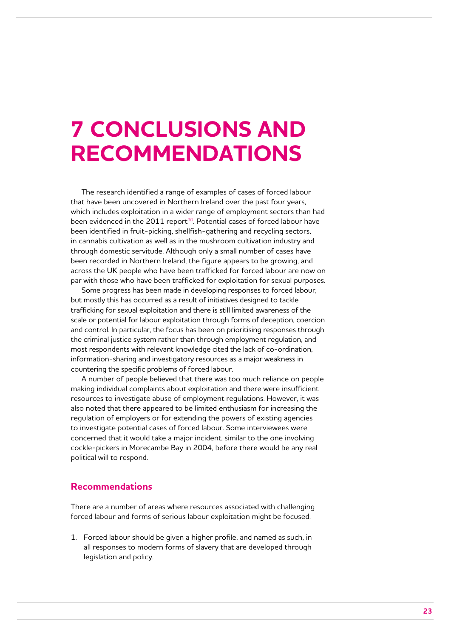## **7 Conclusions and recommendations**

The research identified a range of examples of cases of forced labour that have been uncovered in Northern Ireland over the past four years, which includes exploitation in a wider range of employment sectors than had been evidenced in the 2011 report<sup>30</sup>. Potential cases of forced labour have been identified in fruit-picking, shellfish-gathering and recycling sectors, in cannabis cultivation as well as in the mushroom cultivation industry and through domestic servitude. Although only a small number of cases have been recorded in Northern Ireland, the figure appears to be growing, and across the UK people who have been trafficked for forced labour are now on par with those who have been trafficked for exploitation for sexual purposes.

Some progress has been made in developing responses to forced labour, but mostly this has occurred as a result of initiatives designed to tackle trafficking for sexual exploitation and there is still limited awareness of the scale or potential for labour exploitation through forms of deception, coercion and control. In particular, the focus has been on prioritising responses through the criminal justice system rather than through employment regulation, and most respondents with relevant knowledge cited the lack of co-ordination, information-sharing and investigatory resources as a major weakness in countering the specific problems of forced labour.

A number of people believed that there was too much reliance on people making individual complaints about exploitation and there were insufficient resources to investigate abuse of employment regulations. However, it was also noted that there appeared to be limited enthusiasm for increasing the regulation of employers or for extending the powers of existing agencies to investigate potential cases of forced labour. Some interviewees were concerned that it would take a major incident, similar to the one involving cockle-pickers in Morecambe Bay in 2004, before there would be any real political will to respond.

#### **Recommendations**

There are a number of areas where resources associated with challenging forced labour and forms of serious labour exploitation might be focused.

1. Forced labour should be given a higher profile, and named as such, in all responses to modern forms of slavery that are developed through legislation and policy.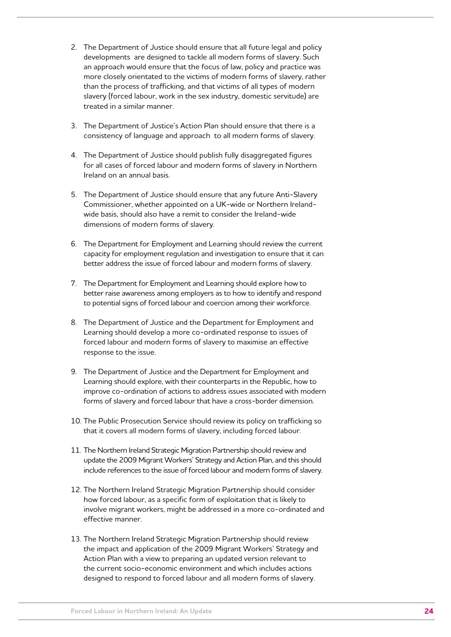- 2. The Department of Justice should ensure that all future legal and policy developments are designed to tackle all modern forms of slavery. Such an approach would ensure that the focus of law, policy and practice was more closely orientated to the victims of modern forms of slavery, rather than the process of trafficking, and that victims of all types of modern slavery (forced labour, work in the sex industry, domestic servitude) are treated in a similar manner.
- 3. The Department of Justice's Action Plan should ensure that there is a consistency of language and approach to all modern forms of slavery.
- 4. The Department of Justice should publish fully disaggregated figures for all cases of forced labour and modern forms of slavery in Northern Ireland on an annual basis.
- 5. The Department of Justice should ensure that any future Anti-Slavery Commissioner, whether appointed on a UK-wide or Northern Irelandwide basis, should also have a remit to consider the Ireland-wide dimensions of modern forms of slavery.
- 6. The Department for Employment and Learning should review the current capacity for employment regulation and investigation to ensure that it can better address the issue of forced labour and modern forms of slavery.
- 7. The Department for Employment and Learning should explore how to better raise awareness among employers as to how to identify and respond to potential signs of forced labour and coercion among their workforce.
- 8. The Department of Justice and the Department for Employment and Learning should develop a more co-ordinated response to issues of forced labour and modern forms of slavery to maximise an effective response to the issue.
- 9. The Department of Justice and the Department for Employment and Learning should explore, with their counterparts in the Republic, how to improve co-ordination of actions to address issues associated with modern forms of slavery and forced labour that have a cross-border dimension.
- 10. The Public Prosecution Service should review its policy on trafficking so that it covers all modern forms of slavery, including forced labour.
- 11. The Northern Ireland Strategic Migration Partnership should review and update the 2009 Migrant Workers' Strategy and Action Plan, and this should include references to the issue of forced labour and modern forms of slavery.
- 12. The Northern Ireland Strategic Migration Partnership should consider how forced labour, as a specific form of exploitation that is likely to involve migrant workers, might be addressed in a more co-ordinated and effective manner.
- 13. The Northern Ireland Strategic Migration Partnership should review the impact and application of the 2009 Migrant Workers' Strategy and Action Plan with a view to preparing an updated version relevant to the current socio-economic environment and which includes actions designed to respond to forced labour and all modern forms of slavery.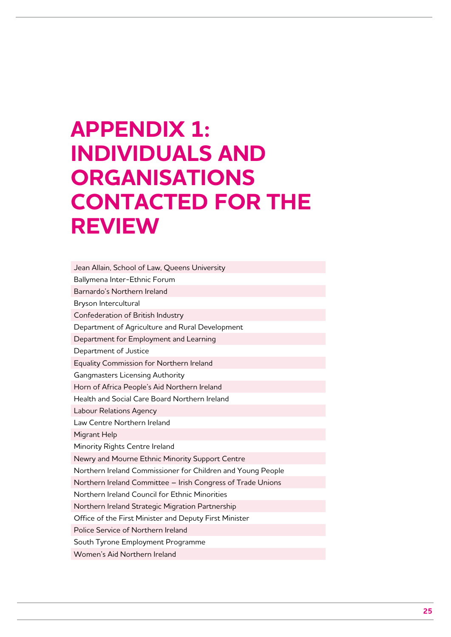# **Appendix 1: Individuals and organisations contacted for the review**

Jean Allain, School of Law, Queens University Ballymena Inter-Ethnic Forum Barnardo's Northern Ireland Bryson Intercultural Confederation of British Industry Department of Agriculture and Rural Development Department for Employment and Learning Department of Justice Equality Commission for Northern Ireland Gangmasters Licensing Authority Horn of Africa People's Aid Northern Ireland Health and Social Care Board Northern Ireland Labour Relations Agency Law Centre Northern Ireland Migrant Help Minority Rights Centre Ireland Newry and Mourne Ethnic Minority Support Centre Northern Ireland Commissioner for Children and Young People Northern Ireland Committee – Irish Congress of Trade Unions Northern Ireland Council for Ethnic Minorities Northern Ireland Strategic Migration Partnership Office of the First Minister and Deputy First Minister Police Service of Northern Ireland South Tyrone Employment Programme Women's Aid Northern Ireland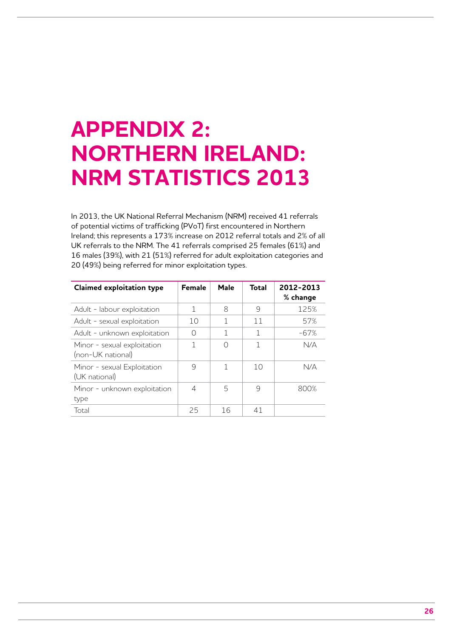# **Appendix 2: Northern Ireland: NRM statistics 2013**

In 2013, the UK National Referral Mechanism (NRM) received 41 referrals of potential victims of trafficking (PVoT) first encountered in Northern Ireland; this represents a 173% increase on 2012 referral totals and 2% of all UK referrals to the NRM. The 41 referrals comprised 25 females (61%) and 16 males (39%), with 21 (51%) referred for adult exploitation categories and 20 (49%) being referred for minor exploitation types.

| <b>Claimed exploitation type</b>                 | <b>Female</b> | Male | Total | 2012-2013<br>% change |
|--------------------------------------------------|---------------|------|-------|-----------------------|
| Adult - labour exploitation                      | 1             | 8    | 9     | 125%                  |
| Adult - sexual exploitation                      | 10            |      | 11    | 57%                   |
| Adult - unknown exploitation                     | Ω             | 1    | 1     | -67%                  |
| Minor - sexual exploitation<br>(non-UK national) | 1             | ∩    | 1     | N/A                   |
| Minor - sexual Exploitation<br>(UK national)     | 9             |      | 10    | N/A                   |
| Minor - unknown exploitation<br>type             | 4             | 5    | 9     | 800%                  |
| Total                                            | 25            | 16   | 41    |                       |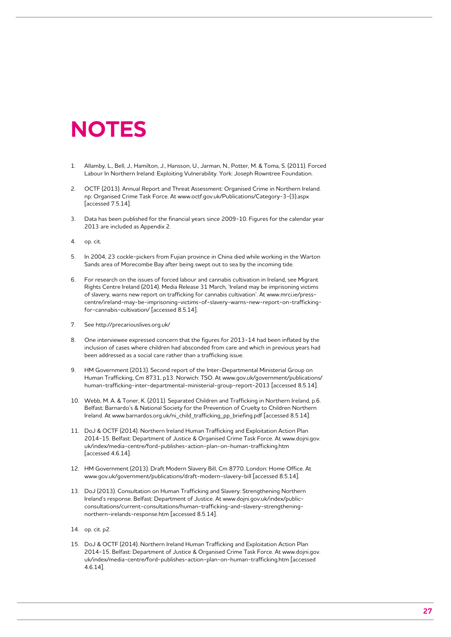### **NOTES**

- 1. Allamby, L., Bell, J., Hamilton, J., Hansson, U., Jarman, N., Potter, M. & Toma, S. (2011). Forced Labour In Northern Ireland: Exploiting Vulnerability. York: Joseph Rowntree Foundation.
- 2. OCTF (2013). Annual Report and Threat Assessment: Organised Crime in Northern Ireland. np: Organised Crime Task Force. At www.octf.gov.uk/Publications/Category-3-(3).aspx [accessed 7.5.14].
- 3. Data has been published for the financial years since 2009-10. Figures for the calendar year 2013 are included as Appendix 2.
- 4. op. cit.
- 5. In 2004, 23 cockle-pickers from Fujian province in China died while working in the Warton Sands area of Morecombe Bay after being swept out to sea by the incoming tide.
- 6. For research on the issues of forced labour and cannabis cultivation in Ireland, see Migrant Rights Centre Ireland (2014). Media Release 31 March, 'Ireland may be imprisoning victims of slavery, warns new report on trafficking for cannabis cultivation'. At www.mrci.ie/presscentre/ireland-may-be-imprisoning-victims-of-slavery-warns-new-report-on-traffickingfor-cannabis-cultivation/ [accessed 8.5.14].
- 7. See http://precariouslives.org.uk/
- 8. One interviewee expressed concern that the figures for 2013-14 had been inflated by the inclusion of cases where children had absconded from care and which in previous years had been addressed as a social care rather than a trafficking issue.
- 9. HM Government (2013). Second report of the Inter-Departmental Ministerial Group on Human Trafficking, Cm 8731, p13. Norwich: TSO. At www.gov.uk/government/publications/ human-trafficking-inter-departmental-ministerial-group-report-2013 [accessed 8.5.14].
- 10. Webb, M. A. & Toner, K. (2011). Separated Children and Trafficking in Northern Ireland, p.6. Belfast: Barnardo's & National Society for the Prevention of Cruelty to Children Northern Ireland. At www.barnardos.org.uk/ni\_child\_trafficking\_pp\_briefing.pdf [accessed 8.5.14].
- 11. DoJ & OCTF (2014). Northern Ireland Human Trafficking and Exploitation Action Plan 2014-15. Belfast: Department of Justice & Organised Crime Task Force. At www.dojni.gov. uk/index/media-centre/ford-publishes-action-plan-on-human-trafficking.htm [accessed 4.6.14].
- 12. HM Government (2013). Draft Modern Slavery Bill, Cm 8770. London: Home Office. At www.gov.uk/government/publications/draft-modern-slavery-bill [accessed 8.5.14].
- 13. DoJ (2013). Consultation on Human Trafficking and Slavery: Strengthening Northern Ireland's response. Belfast: Department of Justice. At www.dojni.gov.uk/index/publicconsultations/current-consultations/human-trafficking-and-slavery-strengtheningnorthern-irelands-response.htm [accessed 8.5.14].
- 14. op. cit. p2.
- 15. DoJ & OCTF (2014). Northern Ireland Human Trafficking and Exploitation Action Plan 2014-15. Belfast: Department of Justice & Organised Crime Task Force. At www.dojni.gov. uk/index/media-centre/ford-publishes-action-plan-on-human-trafficking.htm [accessed 4.6.14].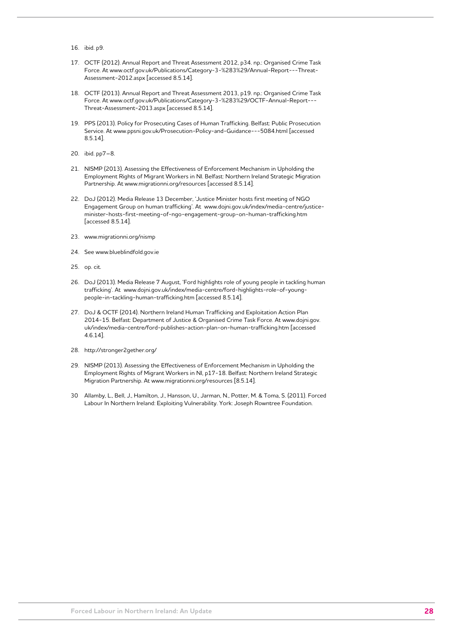- 16. ibid. p9.
- 17. OCTF (2012). Annual Report and Threat Assessment 2012, p34. np.: Organised Crime Task Force. At www.octf.gov.uk/Publications/Category-3-%283%29/Annual-Report---Threat-Assessment-2012.aspx [accessed 8.5.14].
- 18. OCTF (2013). Annual Report and Threat Assessment 2013, p19. np.: Organised Crime Task Force. At www.octf.gov.uk/Publications/Category-3-%283%29/OCTF-Annual-Report--- Threat-Assessment-2013.aspx [accessed 8.5.14].
- 19. PPS (2013). Policy for Prosecuting Cases of Human Trafficking. Belfast: Public Prosecution Service. At www.ppsni.gov.uk/Prosecution-Policy-and-Guidance---5084.html [accessed 8.5.14].
- 20. ibid. pp7–8.
- 21. NISMP (2013). Assessing the Effectiveness of Enforcement Mechanism in Upholding the Employment Rights of Migrant Workers in NI. Belfast: Northern Ireland Strategic Migration Partnership. At www.migrationni.org/resources [accessed 8.5.14].
- 22. DoJ (2012). Media Release 13 December, 'Justice Minister hosts first meeting of NGO Engagement Group on human trafficking'. At www.dojni.gov.uk/index/media-centre/justiceminister-hosts-first-meeting-of-ngo-engagement-group-on-human-trafficking.htm [accessed 8.5.14].
- 23. www.migrationni.org/nismp
- 24. See www.blueblindfold.gov.ie
- 25. op. cit.
- 26. DoJ (2013). Media Release 7 August, 'Ford highlights role of young people in tackling human trafficking'. At www.dojni.gov.uk/index/media-centre/ford-highlights-role-of-youngpeople-in-tackling-human-trafficking.htm [accessed 8.5.14].
- 27. DoJ & OCTF (2014). Northern Ireland Human Trafficking and Exploitation Action Plan 2014-15. Belfast: Department of Justice & Organised Crime Task Force. At www.dojni.gov. uk/index/media-centre/ford-publishes-action-plan-on-human-trafficking.htm [accessed 4.6.14].
- 28. http://stronger2gether.org/
- 29. NISMP (2013). Assessing the Effectiveness of Enforcement Mechanism in Upholding the Employment Rights of Migrant Workers in NI, p17-18. Belfast: Northern Ireland Strategic Migration Partnership. At www.migrationni.org/resources [8.5.14].
- 30 Allamby, L., Bell, J., Hamilton, J., Hansson, U., Jarman, N., Potter, M. & Toma, S. (2011). Forced Labour In Northern Ireland: Exploiting Vulnerability. York: Joseph Rowntree Foundation.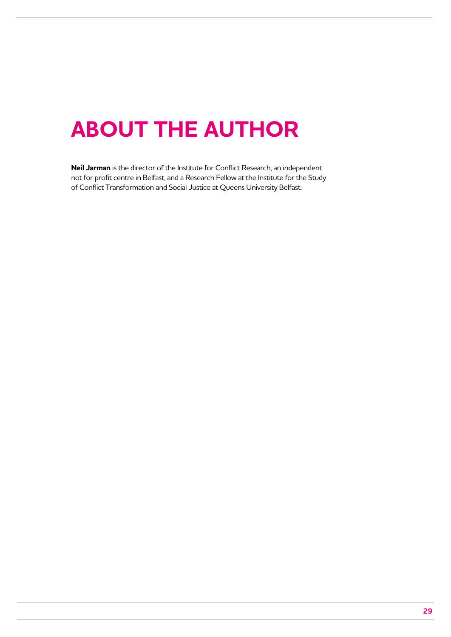# **About the author**

**Neil Jarman** is the director of the Institute for Conflict Research, an independent not for profit centre in Belfast, and a Research Fellow at the Institute for the Study of Conflict Transformation and Social Justice at Queens University Belfast.